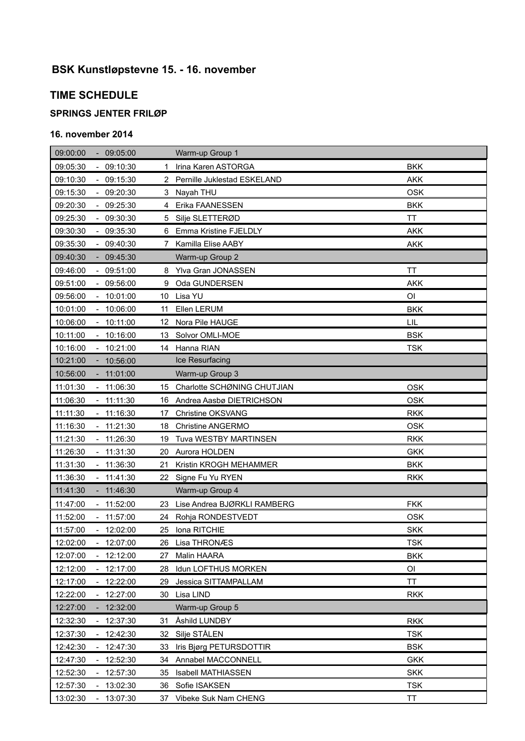# **BSK Kunstløpstevne 15. - 16. november**

## **TIME SCHEDULE**

### **SPRINGS JENTER FRILØP**

### **16. november 2014**

| 09:00:00<br>$-09:05:00$                          |             | Warm-up Group 1               |            |
|--------------------------------------------------|-------------|-------------------------------|------------|
| $-09:10:30$<br>09:05:30                          | $\mathbf 1$ | Irina Karen ASTORGA           | <b>BKK</b> |
| 09:10:30<br>$-09:15:30$                          |             | 2 Pernille Juklestad ESKELAND | <b>AKK</b> |
| 09:15:30<br>$-09:20:30$                          |             | 3 Nayah THU                   | <b>OSK</b> |
| 09:20:30<br>$-09:25:30$                          | 4           | Erika FAANESSEN               | <b>BKK</b> |
| 09:25:30<br>$-09:30:30$                          | 5           | Silje SLETTERØD               | TT         |
| 09:30:30<br>09:35:30                             | 6           | Emma Kristine FJELDLY         | <b>AKK</b> |
| 09:35:30<br>$-09:40:30$                          | 7           | Kamilla Elise AABY            | <b>AKK</b> |
| 09:40:30<br>09:45:30                             |             | Warm-up Group 2               |            |
| 09:46:00<br>$-09:51:00$                          | 8           | Ylva Gran JONASSEN            | ΤT         |
| 09:56:00<br>09:51:00<br>$\sim$                   | 9           | Oda GUNDERSEN                 | <b>AKK</b> |
| 09:56:00<br>$-10:01:00$                          | 10          | Lisa YU                       | ΟI         |
| 10:01:00<br>$-10:06:00$                          | 11          | Ellen LERUM                   | <b>BKK</b> |
| 10:11:00<br>10:06:00                             | 12          | Nora Pile HAUGE               | LIL        |
| 10:11:00<br>$-10:16:00$                          | 13          | Solvor OMLI-MOE               | <b>BSK</b> |
| 10:16:00<br>10:21:00                             | 14          | Hanna RIAN                    | <b>TSK</b> |
| 10:21:00<br>10:56:00<br>$\blacksquare$           |             | Ice Resurfacing               |            |
| 10:56:00<br>11:01:00                             |             | Warm-up Group 3               |            |
| 11:01:30<br>$-11:06:30$                          | 15          | Charlotte SCHØNING CHUTJIAN   | <b>OSK</b> |
| 11:11:30<br>11:06:30                             | 16          | Andrea Aasbø DIETRICHSON      | <b>OSK</b> |
| 11:11:30<br>$-11:16:30$                          | 17          | Christine OKSVANG             | <b>RKK</b> |
| $-11:21:30$<br>11:16:30                          | 18          | <b>Christine ANGERMO</b>      | <b>OSK</b> |
| 11:21:30<br>11:26:30<br>$\blacksquare$           | 19          | Tuva WESTBY MARTINSEN         | <b>RKK</b> |
| $-11:31:30$<br>11:26:30                          | 20          | Aurora HOLDEN                 | <b>GKK</b> |
| 11:31:30<br>11:36:30                             | 21          | Kristin KROGH MEHAMMER        | <b>BKK</b> |
| 11:36:30<br>$-11:41:30$                          | 22          | Signe Fu Yu RYEN              | <b>RKK</b> |
| 11:41:30<br>11:46:30                             |             | Warm-up Group 4               |            |
| 11:47:00<br>$-11:52:00$                          | 23.         | Lise Andrea BJØRKLI RAMBERG   | <b>FKK</b> |
| 11:52:00<br>11:57:00                             | 24          | Rohja RONDESTVEDT             | <b>OSK</b> |
| 11:57:00<br>$-12:02:00$                          | 25          | Iona RITCHIE                  | <b>SKK</b> |
| 12:02:00<br>12:07:00                             | 26          | Lisa THRONÆS                  | <b>TSK</b> |
| 12:12:00<br>12:07:00                             | 27          | Malin HAARA                   | <b>BKK</b> |
| 12:12:00<br>12:17:00<br>$\overline{\phantom{a}}$ | 28          | Idun LOFTHUS MORKEN           | OI         |
| 12:17:00<br>12:22:00                             | 29          | Jessica SITTAMPALLAM          | ΤT         |
| 12:22:00<br>12:27:00                             | 30          | Lisa LIND                     | <b>RKK</b> |
| 12:32:00<br>12:27:00                             |             | Warm-up Group 5               |            |
| 12:32:30<br>12:37:30<br>$\blacksquare$           | 31          | Åshild LUNDBY                 | <b>RKK</b> |
| 12:42:30<br>12:37:30                             | 32          | Silje STÅLEN                  | <b>TSK</b> |
| 12:42:30<br>12:47:30                             | 33          | Iris Bjørg PETURSDOTTIR       | <b>BSK</b> |
| 12:47:30<br>12:52:30                             | 34          | Annabel MACCONNELL            | <b>GKK</b> |
| 12:52:30<br>12:57:30<br>$\overline{\phantom{a}}$ | 35          | <b>Isabell MATHIASSEN</b>     | <b>SKK</b> |
| 12:57:30<br>13:02:30<br>$\overline{\phantom{a}}$ | 36          | Sofie ISAKSEN                 | <b>TSK</b> |
| 13:02:30<br>13:07:30<br>$\blacksquare$           | 37          | Vibeke Suk Nam CHENG          | ΤT         |